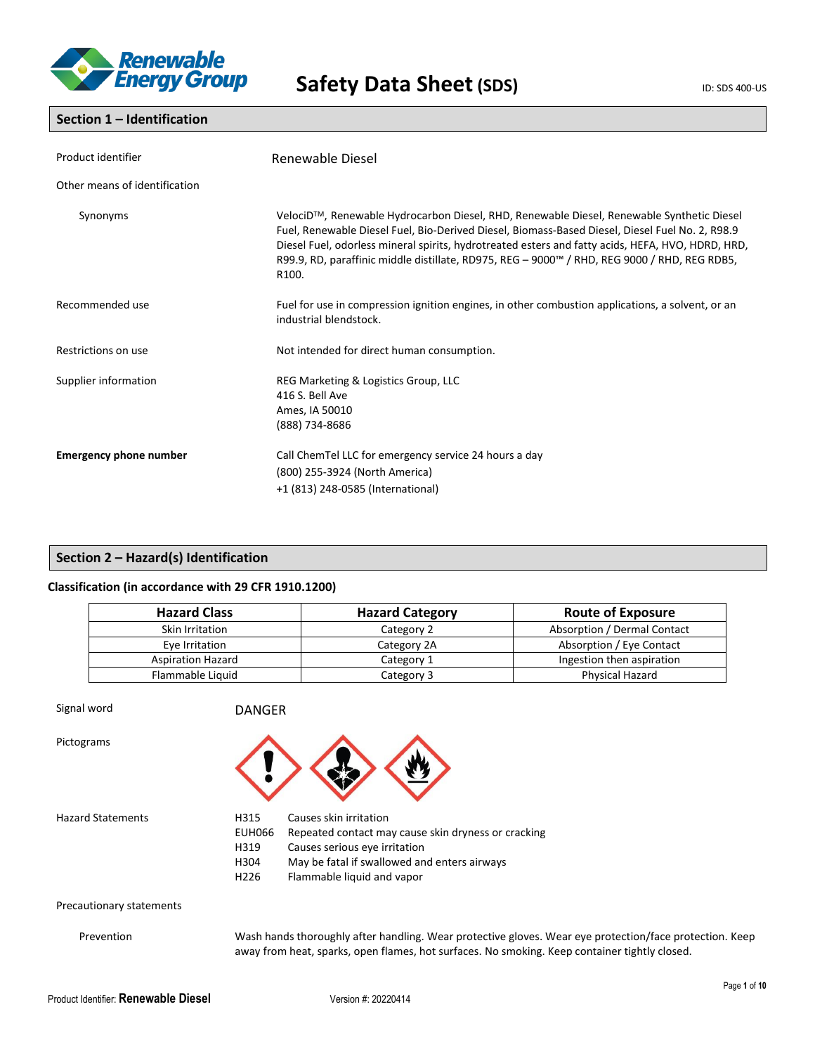

## **Section 1 – Identification**

| Product identifier            | Renewable Diesel                                                                                                                                                                                                                                                                                                                                                                                                        |
|-------------------------------|-------------------------------------------------------------------------------------------------------------------------------------------------------------------------------------------------------------------------------------------------------------------------------------------------------------------------------------------------------------------------------------------------------------------------|
| Other means of identification |                                                                                                                                                                                                                                                                                                                                                                                                                         |
| Synonyms                      | VelociD™, Renewable Hydrocarbon Diesel, RHD, Renewable Diesel, Renewable Synthetic Diesel<br>Fuel, Renewable Diesel Fuel, Bio-Derived Diesel, Biomass-Based Diesel, Diesel Fuel No. 2, R98.9<br>Diesel Fuel, odorless mineral spirits, hydrotreated esters and fatty acids, HEFA, HVO, HDRD, HRD,<br>R99.9, RD, paraffinic middle distillate, RD975, REG – 9000™ / RHD, REG 9000 / RHD, REG RDB5,<br>R <sub>100</sub> . |
| Recommended use               | Fuel for use in compression ignition engines, in other combustion applications, a solvent, or an<br>industrial blendstock.                                                                                                                                                                                                                                                                                              |
| Restrictions on use           | Not intended for direct human consumption.                                                                                                                                                                                                                                                                                                                                                                              |
| Supplier information          | REG Marketing & Logistics Group, LLC<br>416 S. Bell Ave<br>Ames, IA 50010<br>(888) 734-8686                                                                                                                                                                                                                                                                                                                             |
| <b>Emergency phone number</b> | Call ChemTel LLC for emergency service 24 hours a day<br>(800) 255-3924 (North America)<br>+1 (813) 248-0585 (International)                                                                                                                                                                                                                                                                                            |

## **Section 2 – Hazard(s) Identification**

## **Classification (in accordance with 29 CFR 1910.1200)**

| <b>Hazard Class</b>      | <b>Hazard Category</b> | <b>Route of Exposure</b>    |  |
|--------------------------|------------------------|-----------------------------|--|
| Skin Irritation          | Category 2             | Absorption / Dermal Contact |  |
| Eye Irritation           | Category 2A            | Absorption / Eye Contact    |  |
| <b>Aspiration Hazard</b> | Category 1             | Ingestion then aspiration   |  |
| Flammable Liquid         | Category 3             | Physical Hazard             |  |

Signal word DANGER

Pictograms



Hazard Statements H315 Causes skin irritation

EUH066 Repeated contact may cause skin dryness or cracking H319 Causes serious eye irritation

- H304 May be fatal if swallowed and enters airways
- H226 Flammable liquid and vapor

### Precautionary statements

Prevention Wash hands thoroughly after handling. Wear protective gloves. Wear eye protection/face protection. Keep away from heat, sparks, open flames, hot surfaces. No smoking. Keep container tightly closed.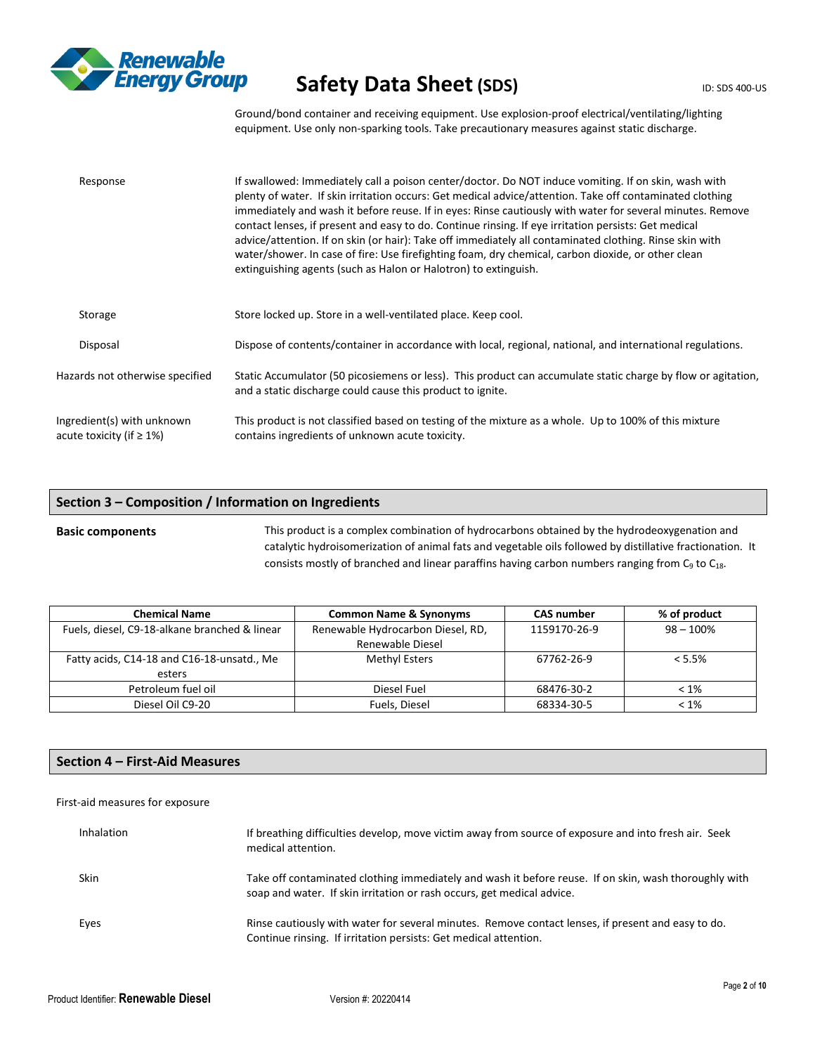

Ground/bond container and receiving equipment. Use explosion-proof electrical/ventilating/lighting equipment. Use only non-sparking tools. Take precautionary measures against static discharge.

| Response                                                      | If swallowed: Immediately call a poison center/doctor. Do NOT induce vomiting. If on skin, wash with<br>plenty of water. If skin irritation occurs: Get medical advice/attention. Take off contaminated clothing<br>immediately and wash it before reuse. If in eyes: Rinse cautiously with water for several minutes. Remove<br>contact lenses, if present and easy to do. Continue rinsing. If eye irritation persists: Get medical<br>advice/attention. If on skin (or hair): Take off immediately all contaminated clothing. Rinse skin with<br>water/shower. In case of fire: Use firefighting foam, dry chemical, carbon dioxide, or other clean<br>extinguishing agents (such as Halon or Halotron) to extinguish. |
|---------------------------------------------------------------|---------------------------------------------------------------------------------------------------------------------------------------------------------------------------------------------------------------------------------------------------------------------------------------------------------------------------------------------------------------------------------------------------------------------------------------------------------------------------------------------------------------------------------------------------------------------------------------------------------------------------------------------------------------------------------------------------------------------------|
| Storage                                                       | Store locked up. Store in a well-ventilated place. Keep cool.                                                                                                                                                                                                                                                                                                                                                                                                                                                                                                                                                                                                                                                             |
| Disposal                                                      | Dispose of contents/container in accordance with local, regional, national, and international regulations.                                                                                                                                                                                                                                                                                                                                                                                                                                                                                                                                                                                                                |
| Hazards not otherwise specified                               | Static Accumulator (50 picosiemens or less). This product can accumulate static charge by flow or agitation,<br>and a static discharge could cause this product to ignite.                                                                                                                                                                                                                                                                                                                                                                                                                                                                                                                                                |
| Ingredient(s) with unknown<br>acute toxicity (if $\geq 1\%$ ) | This product is not classified based on testing of the mixture as a whole. Up to 100% of this mixture<br>contains ingredients of unknown acute toxicity.                                                                                                                                                                                                                                                                                                                                                                                                                                                                                                                                                                  |

## **Section 3 – Composition / Information on Ingredients**

**Basic components** This product is a complex combination of hydrocarbons obtained by the hydrodeoxygenation and catalytic hydroisomerization of animal fats and vegetable oils followed by distillative fractionation. It consists mostly of branched and linear paraffins having carbon numbers ranging from  $C_9$  to  $C_{18}$ .

| <b>Chemical Name</b>                          | <b>Common Name &amp; Synonyms</b> | <b>CAS number</b> | % of product |
|-----------------------------------------------|-----------------------------------|-------------------|--------------|
| Fuels, diesel, C9-18-alkane branched & linear | Renewable Hydrocarbon Diesel, RD, | 1159170-26-9      | $98 - 100\%$ |
|                                               | Renewable Diesel                  |                   |              |
| Fatty acids, C14-18 and C16-18-unsatd., Me    | Methyl Esters                     | 67762-26-9        | < 5.5%       |
| esters                                        |                                   |                   |              |
| Petroleum fuel oil                            | Diesel Fuel                       | 68476-30-2        | $< 1\%$      |
| Diesel Oil C9-20                              | Fuels, Diesel                     | 68334-30-5        | $< 1\%$      |

## **Section 4 – First-Aid Measures**

#### First-aid measures for exposure

| Inhalation  | If breathing difficulties develop, move victim away from source of exposure and into fresh air. Seek<br>medical attention.                                                      |
|-------------|---------------------------------------------------------------------------------------------------------------------------------------------------------------------------------|
| <b>Skin</b> | Take off contaminated clothing immediately and wash it before reuse. If on skin, wash thoroughly with<br>soap and water. If skin irritation or rash occurs, get medical advice. |
| Eyes        | Rinse cautiously with water for several minutes. Remove contact lenses, if present and easy to do.<br>Continue rinsing. If irritation persists: Get medical attention.          |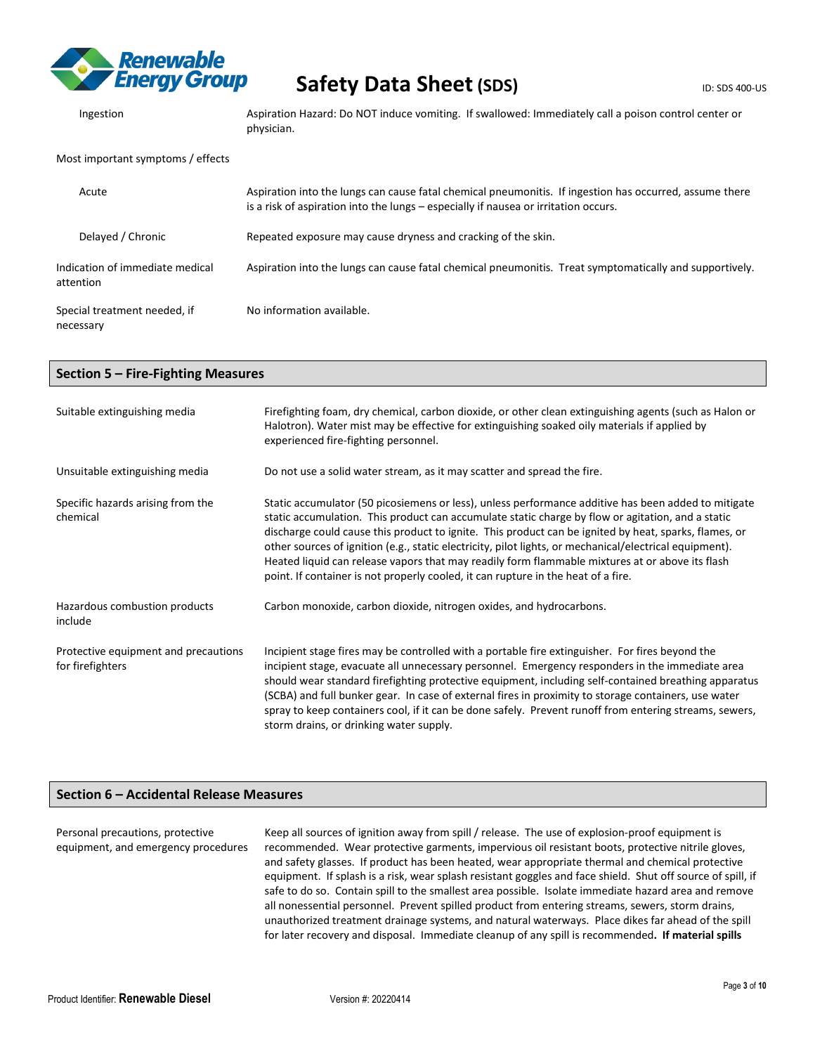

| Ingestion                                    | Aspiration Hazard: Do NOT induce vomiting. If swallowed: Immediately call a poison control center or<br>physician.                                                                             |
|----------------------------------------------|------------------------------------------------------------------------------------------------------------------------------------------------------------------------------------------------|
| Most important symptoms / effects            |                                                                                                                                                                                                |
| Acute                                        | Aspiration into the lungs can cause fatal chemical pneumonitis. If ingestion has occurred, assume there<br>is a risk of aspiration into the lungs – especially if nausea or irritation occurs. |
| Delayed / Chronic                            | Repeated exposure may cause dryness and cracking of the skin.                                                                                                                                  |
| Indication of immediate medical<br>attention | Aspiration into the lungs can cause fatal chemical pneumonitis. Treat symptomatically and supportively.                                                                                        |
| Special treatment needed, if<br>necessary    | No information available.                                                                                                                                                                      |

| Section 5 - Fire-Fighting Measures                       |                                                                                                                                                                                                                                                                                                                                                                                                                                                                                                                                                                                                                      |  |  |
|----------------------------------------------------------|----------------------------------------------------------------------------------------------------------------------------------------------------------------------------------------------------------------------------------------------------------------------------------------------------------------------------------------------------------------------------------------------------------------------------------------------------------------------------------------------------------------------------------------------------------------------------------------------------------------------|--|--|
| Suitable extinguishing media                             | Firefighting foam, dry chemical, carbon dioxide, or other clean extinguishing agents (such as Halon or<br>Halotron). Water mist may be effective for extinguishing soaked oily materials if applied by<br>experienced fire-fighting personnel.                                                                                                                                                                                                                                                                                                                                                                       |  |  |
| Unsuitable extinguishing media                           | Do not use a solid water stream, as it may scatter and spread the fire.                                                                                                                                                                                                                                                                                                                                                                                                                                                                                                                                              |  |  |
| Specific hazards arising from the<br>chemical            | Static accumulator (50 picosiemens or less), unless performance additive has been added to mitigate<br>static accumulation. This product can accumulate static charge by flow or agitation, and a static<br>discharge could cause this product to ignite. This product can be ignited by heat, sparks, flames, or<br>other sources of ignition (e.g., static electricity, pilot lights, or mechanical/electrical equipment).<br>Heated liquid can release vapors that may readily form flammable mixtures at or above its flash<br>point. If container is not properly cooled, it can rupture in the heat of a fire. |  |  |
| Hazardous combustion products<br>include                 | Carbon monoxide, carbon dioxide, nitrogen oxides, and hydrocarbons.                                                                                                                                                                                                                                                                                                                                                                                                                                                                                                                                                  |  |  |
| Protective equipment and precautions<br>for firefighters | Incipient stage fires may be controlled with a portable fire extinguisher. For fires beyond the<br>incipient stage, evacuate all unnecessary personnel. Emergency responders in the immediate area<br>should wear standard firefighting protective equipment, including self-contained breathing apparatus<br>(SCBA) and full bunker gear. In case of external fires in proximity to storage containers, use water<br>spray to keep containers cool, if it can be done safely. Prevent runoff from entering streams, sewers,<br>storm drains, or drinking water supply.                                              |  |  |

## **Section 6 – Accidental Release Measures**

Personal precautions, protective equipment, and emergency procedures Keep all sources of ignition away from spill / release. The use of explosion-proof equipment is recommended. Wear protective garments, impervious oil resistant boots, protective nitrile gloves, and safety glasses. If product has been heated, wear appropriate thermal and chemical protective equipment. If splash is a risk, wear splash resistant goggles and face shield. Shut off source of spill, if safe to do so. Contain spill to the smallest area possible. Isolate immediate hazard area and remove all nonessential personnel. Prevent spilled product from entering streams, sewers, storm drains, unauthorized treatment drainage systems, and natural waterways. Place dikes far ahead of the spill for later recovery and disposal. Immediate cleanup of any spill is recommended**. If material spills**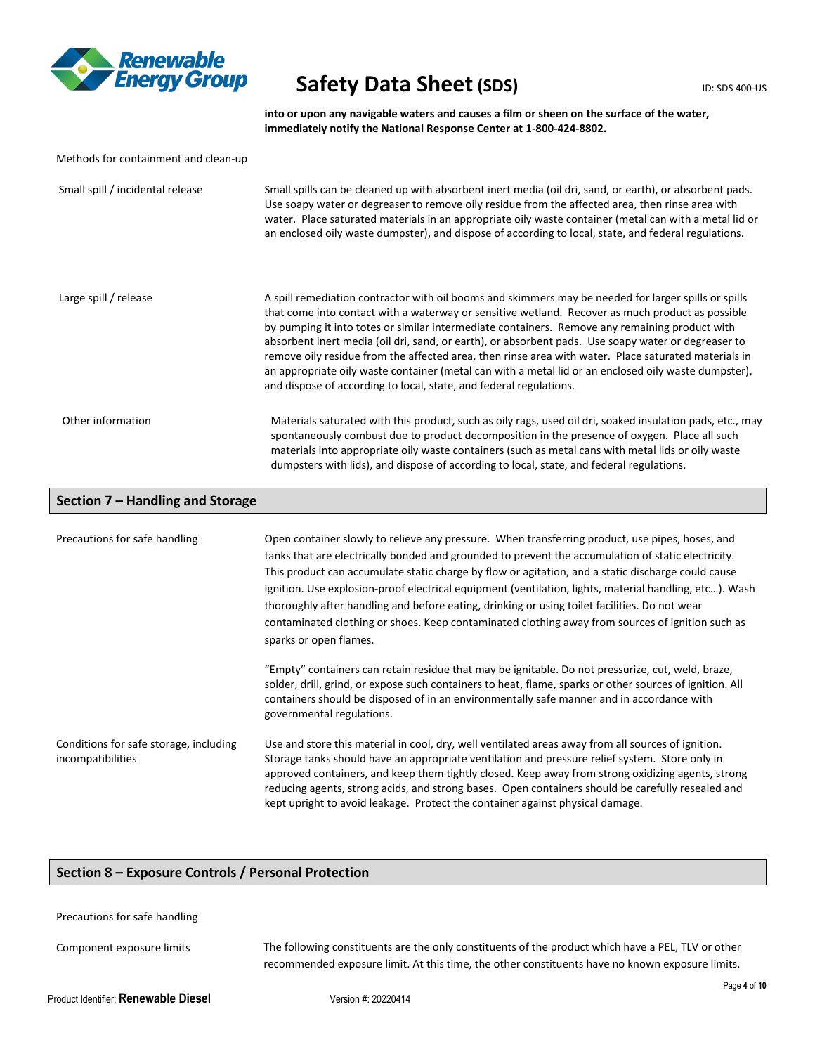

**into or upon any navigable waters and causes a film or sheen on the surface of the water, immediately notify the National Response Center at 1-800-424-8802.**

| Methods for containment and clean-up |                                                                                                                                                                                                                                                                                                                                                                                                                                                                                                                                                                                                                                                                                                         |
|--------------------------------------|---------------------------------------------------------------------------------------------------------------------------------------------------------------------------------------------------------------------------------------------------------------------------------------------------------------------------------------------------------------------------------------------------------------------------------------------------------------------------------------------------------------------------------------------------------------------------------------------------------------------------------------------------------------------------------------------------------|
| Small spill / incidental release     | Small spills can be cleaned up with absorbent inert media (oil dri, sand, or earth), or absorbent pads.<br>Use soapy water or degreaser to remove oily residue from the affected area, then rinse area with<br>water. Place saturated materials in an appropriate oily waste container (metal can with a metal lid or<br>an enclosed oily waste dumpster), and dispose of according to local, state, and federal regulations.                                                                                                                                                                                                                                                                           |
| Large spill / release                | A spill remediation contractor with oil booms and skimmers may be needed for larger spills or spills<br>that come into contact with a waterway or sensitive wetland. Recover as much product as possible<br>by pumping it into totes or similar intermediate containers. Remove any remaining product with<br>absorbent inert media (oil dri, sand, or earth), or absorbent pads. Use soapy water or degreaser to<br>remove oily residue from the affected area, then rinse area with water. Place saturated materials in<br>an appropriate oily waste container (metal can with a metal lid or an enclosed oily waste dumpster),<br>and dispose of according to local, state, and federal regulations. |
| Other information                    | Materials saturated with this product, such as oily rags, used oil dri, soaked insulation pads, etc., may<br>spontaneously combust due to product decomposition in the presence of oxygen. Place all such<br>materials into appropriate oily waste containers (such as metal cans with metal lids or oily waste<br>dumpsters with lids), and dispose of according to local, state, and federal regulations.                                                                                                                                                                                                                                                                                             |
| Section 7 - Handling and Storage     |                                                                                                                                                                                                                                                                                                                                                                                                                                                                                                                                                                                                                                                                                                         |
| Precautions for safe handling        | Open container slowly to relieve any pressure. When transferring product, use pipes, hoses, and<br>tapke that are electrically bonded and grounded to provent the accumulation of static electricity                                                                                                                                                                                                                                                                                                                                                                                                                                                                                                    |

tanks that are electrically bonded and grounded to prevent the accumulation of static electricity. This product can accumulate static charge by flow or agitation, and a static discharge could cause ignition. Use explosion-proof electrical equipment (ventilation, lights, material handling, etc...). Wash thoroughly after handling and before eating, drinking or using toilet facilities. Do not wear contaminated clothing or shoes. Keep contaminated clothing away from sources of ignition such as sparks or open flames. "Empty" containers can retain residue that may be ignitable. Do not pressurize, cut, weld, braze, solder, drill, grind, or expose such containers to heat, flame, sparks or other sources of ignition. All containers should be disposed of in an environmentally safe manner and in accordance with governmental regulations.

Conditions for safe storage, including incompatibilities Use and store this material in cool, dry, well ventilated areas away from all sources of ignition. Storage tanks should have an appropriate ventilation and pressure relief system. Store only in approved containers, and keep them tightly closed. Keep away from strong oxidizing agents, strong reducing agents, strong acids, and strong bases. Open containers should be carefully resealed and kept upright to avoid leakage. Protect the container against physical damage.

## **Section 8 – Exposure Controls / Personal Protection**

Precautions for safe handling

Component exposure limits The following constituents are the only constituents of the product which have a PEL, TLV or other recommended exposure limit. At this time, the other constituents have no known exposure limits.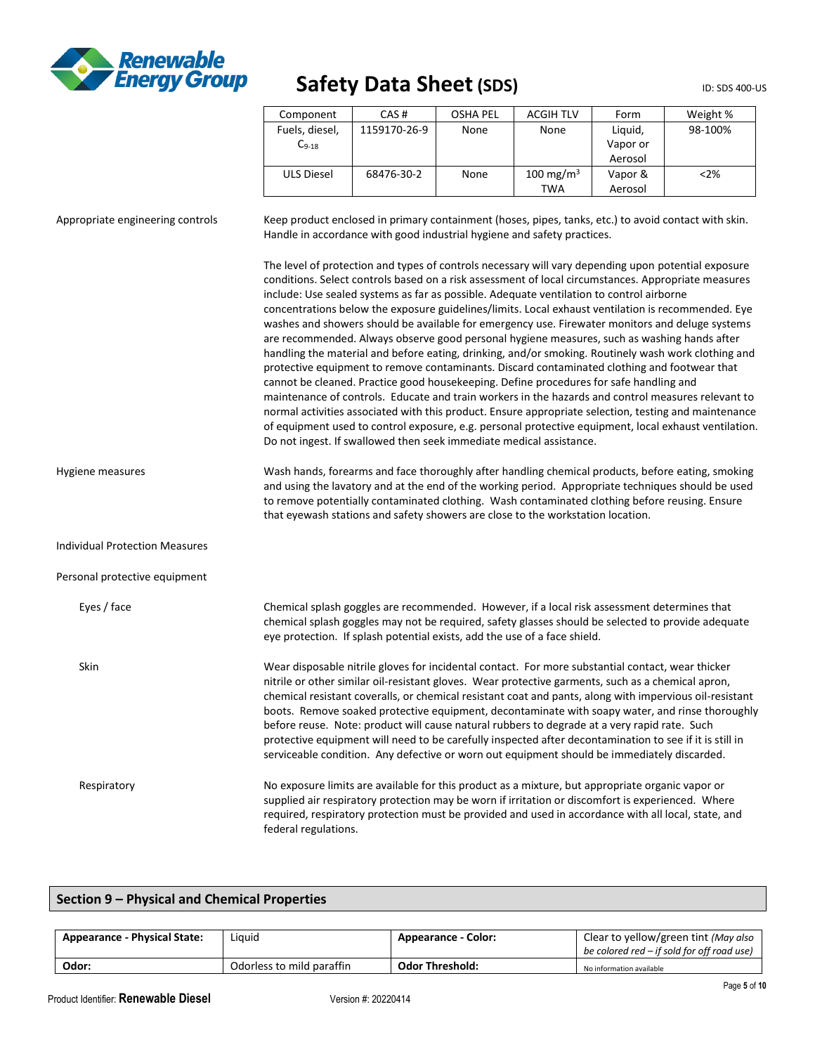

| Component         | CAS#         | OSHA PEL | <b>ACGIH TLV</b>      | Form     | Weight % |
|-------------------|--------------|----------|-----------------------|----------|----------|
| Fuels, diesel,    | 1159170-26-9 | None     | None                  | Liguid,  | 98-100%  |
| $C_{9-18}$        |              |          |                       | Vapor or |          |
|                   |              |          |                       | Aerosol  |          |
| <b>ULS Diesel</b> | 68476-30-2   | None     | 100 mg/m <sup>3</sup> | Vapor &  | < 2%     |
|                   |              |          | TWA                   | Aerosol  |          |

Appropriate engineering controls Keep product enclosed in primary containment (hoses, pipes, tanks, etc.) to avoid contact with skin. Handle in accordance with good industrial hygiene and safety practices.

> The level of protection and types of controls necessary will vary depending upon potential exposure conditions. Select controls based on a risk assessment of local circumstances. Appropriate measures include: Use sealed systems as far as possible. Adequate ventilation to control airborne concentrations below the exposure guidelines/limits. Local exhaust ventilation is recommended. Eye washes and showers should be available for emergency use. Firewater monitors and deluge systems are recommended. Always observe good personal hygiene measures, such as washing hands after handling the material and before eating, drinking, and/or smoking. Routinely wash work clothing and protective equipment to remove contaminants. Discard contaminated clothing and footwear that cannot be cleaned. Practice good housekeeping. Define procedures for safe handling and maintenance of controls. Educate and train workers in the hazards and control measures relevant to normal activities associated with this product. Ensure appropriate selection, testing and maintenance of equipment used to control exposure, e.g. personal protective equipment, local exhaust ventilation. Do not ingest. If swallowed then seek immediate medical assistance.

Hygiene measures Wash hands, forearms and face thoroughly after handling chemical products, before eating, smoking and using the lavatory and at the end of the working period. Appropriate techniques should be used to remove potentially contaminated clothing. Wash contaminated clothing before reusing. Ensure that eyewash stations and safety showers are close to the workstation location.

Individual Protection Measures

Personal protective equipment

| Eyes / face | Chemical splash goggles are recommended. However, if a local risk assessment determines that<br>chemical splash goggles may not be required, safety glasses should be selected to provide adequate<br>eye protection. If splash potential exists, add the use of a face shield.                                                                                                                                                                                                                                                                                                                                                                                                                                                 |
|-------------|---------------------------------------------------------------------------------------------------------------------------------------------------------------------------------------------------------------------------------------------------------------------------------------------------------------------------------------------------------------------------------------------------------------------------------------------------------------------------------------------------------------------------------------------------------------------------------------------------------------------------------------------------------------------------------------------------------------------------------|
| <b>Skin</b> | Wear disposable nitrile gloves for incidental contact. For more substantial contact, wear thicker<br>nitrile or other similar oil-resistant gloves. Wear protective garments, such as a chemical apron,<br>chemical resistant coveralls, or chemical resistant coat and pants, along with impervious oil-resistant<br>boots. Remove soaked protective equipment, decontaminate with soapy water, and rinse thoroughly<br>before reuse. Note: product will cause natural rubbers to degrade at a very rapid rate. Such<br>protective equipment will need to be carefully inspected after decontamination to see if it is still in<br>serviceable condition. Any defective or worn out equipment should be immediately discarded. |
| Respiratory | No exposure limits are available for this product as a mixture, but appropriate organic vapor or<br>supplied air respiratory protection may be worn if irritation or discomfort is experienced. Where<br>required, respiratory protection must be provided and used in accordance with all local, state, and<br>federal regulations.                                                                                                                                                                                                                                                                                                                                                                                            |

## **Section 9 – Physical and Chemical Properties**

| Liguid<br><b>Appearance - Physical State:</b> |                           | <b>Appearance - Color:</b> | Clear to yellow/green tint (May also<br>be colored red – if sold for off road use) |
|-----------------------------------------------|---------------------------|----------------------------|------------------------------------------------------------------------------------|
| Odor:                                         | Odorless to mild paraffin | <b>Odor Threshold:</b>     | No information available                                                           |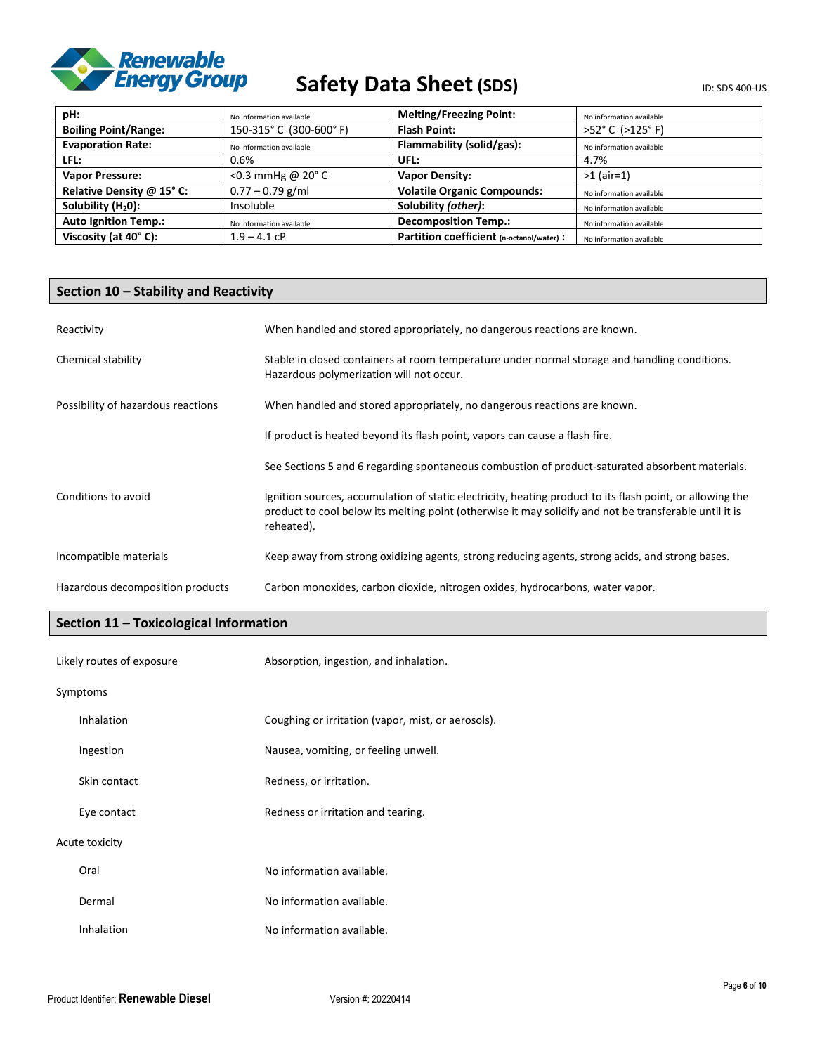

| pH:                            | No information available   | <b>Melting/Freezing Point:</b>           | No information available |
|--------------------------------|----------------------------|------------------------------------------|--------------------------|
| <b>Boiling Point/Range:</b>    | 150-315°C (300-600°F)      | <b>Flash Point:</b>                      | >52°C (>125°F)           |
| <b>Evaporation Rate:</b>       | No information available   | Flammability (solid/gas):                | No information available |
| LFL:                           | 0.6%                       | UFL:                                     | 4.7%                     |
| <b>Vapor Pressure:</b>         | <0.3 mmHg @ $20^{\circ}$ C | <b>Vapor Density:</b>                    | $>1$ (air=1)             |
| Relative Density @ 15° C:      | $0.77 - 0.79$ g/ml         | <b>Volatile Organic Compounds:</b>       | No information available |
| Solubility (H <sub>2</sub> 0): | Insoluble                  | Solubility (other):                      | No information available |
| <b>Auto Ignition Temp.:</b>    | No information available   | <b>Decomposition Temp.:</b>              | No information available |
| Viscosity (at 40°C):           | $1.9 - 4.1$ cP             | Partition coefficient (n-octanol/water): | No information available |

## **Section 10 – Stability and Reactivity**

| Reactivity                         | When handled and stored appropriately, no dangerous reactions are known.                                                                                                                                                          |
|------------------------------------|-----------------------------------------------------------------------------------------------------------------------------------------------------------------------------------------------------------------------------------|
| Chemical stability                 | Stable in closed containers at room temperature under normal storage and handling conditions.<br>Hazardous polymerization will not occur.                                                                                         |
| Possibility of hazardous reactions | When handled and stored appropriately, no dangerous reactions are known.                                                                                                                                                          |
|                                    | If product is heated beyond its flash point, vapors can cause a flash fire.                                                                                                                                                       |
|                                    | See Sections 5 and 6 regarding spontaneous combustion of product-saturated absorbent materials.                                                                                                                                   |
| Conditions to avoid                | Ignition sources, accumulation of static electricity, heating product to its flash point, or allowing the<br>product to cool below its melting point (otherwise it may solidify and not be transferable until it is<br>reheated). |
| Incompatible materials             | Keep away from strong oxidizing agents, strong reducing agents, strong acids, and strong bases.                                                                                                                                   |
| Hazardous decomposition products   | Carbon monoxides, carbon dioxide, nitrogen oxides, hydrocarbons, water vapor.                                                                                                                                                     |

## **Section 11 – Toxicological Information**

| Likely routes of exposure |                | Absorption, ingestion, and inhalation.             |
|---------------------------|----------------|----------------------------------------------------|
|                           | Symptoms       |                                                    |
|                           | Inhalation     | Coughing or irritation (vapor, mist, or aerosols). |
|                           | Ingestion      | Nausea, vomiting, or feeling unwell.               |
|                           | Skin contact   | Redness, or irritation.                            |
|                           | Eye contact    | Redness or irritation and tearing.                 |
|                           | Acute toxicity |                                                    |
|                           | Oral           | No information available.                          |
|                           | Dermal         | No information available.                          |
|                           | Inhalation     | No information available.                          |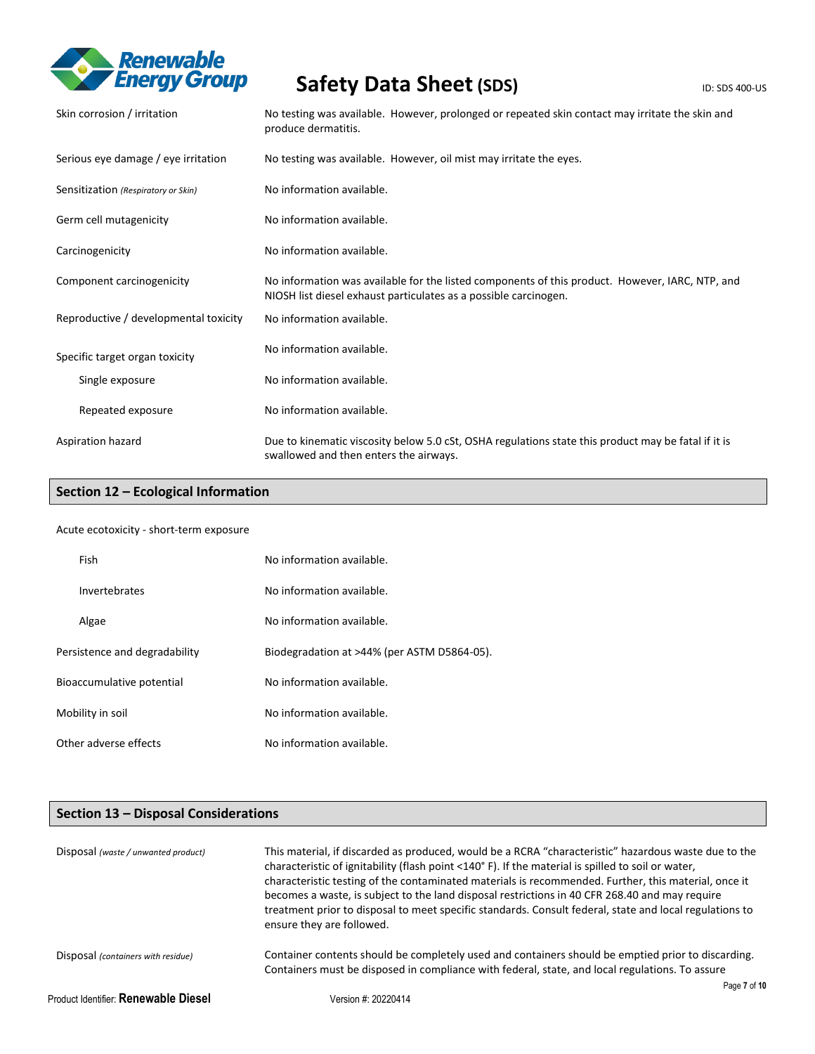

| Skin corrosion / irritation           | No testing was available. However, prolonged or repeated skin contact may irritate the skin and<br>produce dermatitis.                                              |
|---------------------------------------|---------------------------------------------------------------------------------------------------------------------------------------------------------------------|
| Serious eye damage / eye irritation   | No testing was available. However, oil mist may irritate the eyes.                                                                                                  |
| Sensitization (Respiratory or Skin)   | No information available.                                                                                                                                           |
| Germ cell mutagenicity                | No information available.                                                                                                                                           |
| Carcinogenicity                       | No information available.                                                                                                                                           |
| Component carcinogenicity             | No information was available for the listed components of this product. However, IARC, NTP, and<br>NIOSH list diesel exhaust particulates as a possible carcinogen. |
| Reproductive / developmental toxicity | No information available.                                                                                                                                           |
| Specific target organ toxicity        | No information available.                                                                                                                                           |
| Single exposure                       | No information available.                                                                                                                                           |
| Repeated exposure                     | No information available.                                                                                                                                           |
| Aspiration hazard                     | Due to kinematic viscosity below 5.0 cSt, OSHA regulations state this product may be fatal if it is<br>swallowed and then enters the airways.                       |

## **Section 12 – Ecological Information**

## Acute ecotoxicity - short-term exposure

| Fish                          | No information available.                   |
|-------------------------------|---------------------------------------------|
| Invertebrates                 | No information available.                   |
| Algae                         | No information available.                   |
| Persistence and degradability | Biodegradation at >44% (per ASTM D5864-05). |
| Bioaccumulative potential     | No information available.                   |
| Mobility in soil              | No information available.                   |
| Other adverse effects         | No information available.                   |

# **Section 13 – Disposal Considerations**

| Disposal (waste / unwanted product)         | This material, if discarded as produced, would be a RCRA "characteristic" hazardous waste due to the<br>characteristic of ignitability (flash point <140°F). If the material is spilled to soil or water,<br>characteristic testing of the contaminated materials is recommended. Further, this material, once it<br>becomes a waste, is subject to the land disposal restrictions in 40 CFR 268.40 and may require<br>treatment prior to disposal to meet specific standards. Consult federal, state and local regulations to<br>ensure they are followed. |
|---------------------------------------------|-------------------------------------------------------------------------------------------------------------------------------------------------------------------------------------------------------------------------------------------------------------------------------------------------------------------------------------------------------------------------------------------------------------------------------------------------------------------------------------------------------------------------------------------------------------|
| Disposal (containers with residue)          | Container contents should be completely used and containers should be emptied prior to discarding.<br>Containers must be disposed in compliance with federal, state, and local regulations. To assure                                                                                                                                                                                                                                                                                                                                                       |
|                                             | Page 7 of 10                                                                                                                                                                                                                                                                                                                                                                                                                                                                                                                                                |
| Product Identifier: <b>Renewable Diesel</b> | Version #: 20220414                                                                                                                                                                                                                                                                                                                                                                                                                                                                                                                                         |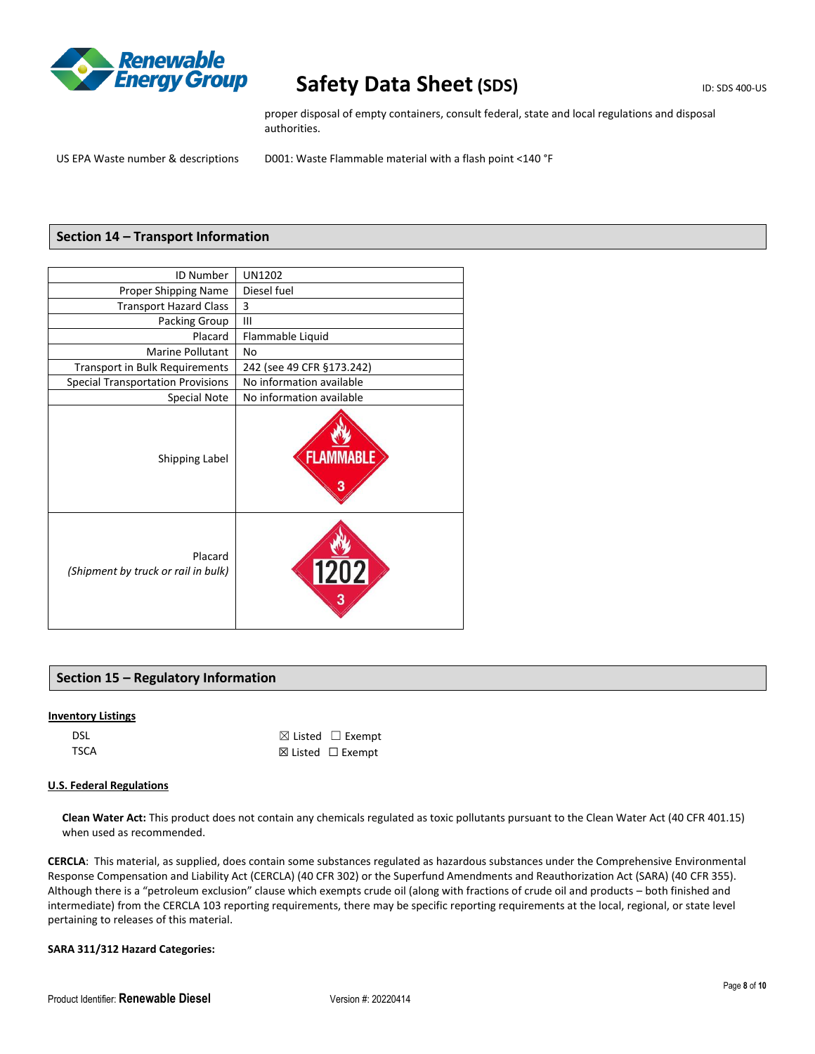

proper disposal of empty containers, consult federal, state and local regulations and disposal authorities.

US EPA Waste number & descriptions D001: Waste Flammable material with a flash point <140 °F

## **Section 14 – Transport Information**

| ID Number                                      | <b>UN1202</b>             |
|------------------------------------------------|---------------------------|
| Proper Shipping Name                           | Diesel fuel               |
| <b>Transport Hazard Class</b>                  | 3                         |
| Packing Group                                  | $\mathbf{III}$            |
| Placard                                        | Flammable Liquid          |
| <b>Marine Pollutant</b>                        | No                        |
| Transport in Bulk Requirements                 | 242 (see 49 CFR §173.242) |
| <b>Special Transportation Provisions</b>       | No information available  |
| Special Note                                   | No information available  |
| Shipping Label                                 | FLAN                      |
| Placard<br>(Shipment by truck or rail in bulk) | 1202                      |

## **Section 15 – Regulatory Information**

### **Inventory Listings**

| <b>DSL</b> | $\boxtimes$ Listed $\Box$ Exempt |
|------------|----------------------------------|
| TSCA       | $\boxtimes$ Listed $□$ Exempt    |

#### **U.S. Federal Regulations**

**Clean Water Act:** This product does not contain any chemicals regulated as toxic pollutants pursuant to the Clean Water Act (40 CFR 401.15) when used as recommended.

**CERCLA**: This material, as supplied, does contain some substances regulated as hazardous substances under the Comprehensive Environmental Response Compensation and Liability Act (CERCLA) (40 CFR 302) or the Superfund Amendments and Reauthorization Act (SARA) (40 CFR 355). Although there is a "petroleum exclusion" clause which exempts crude oil (along with fractions of crude oil and products – both finished and intermediate) from the CERCLA 103 reporting requirements, there may be specific reporting requirements at the local, regional, or state level pertaining to releases of this material.

## **SARA 311/312 Hazard Categories:**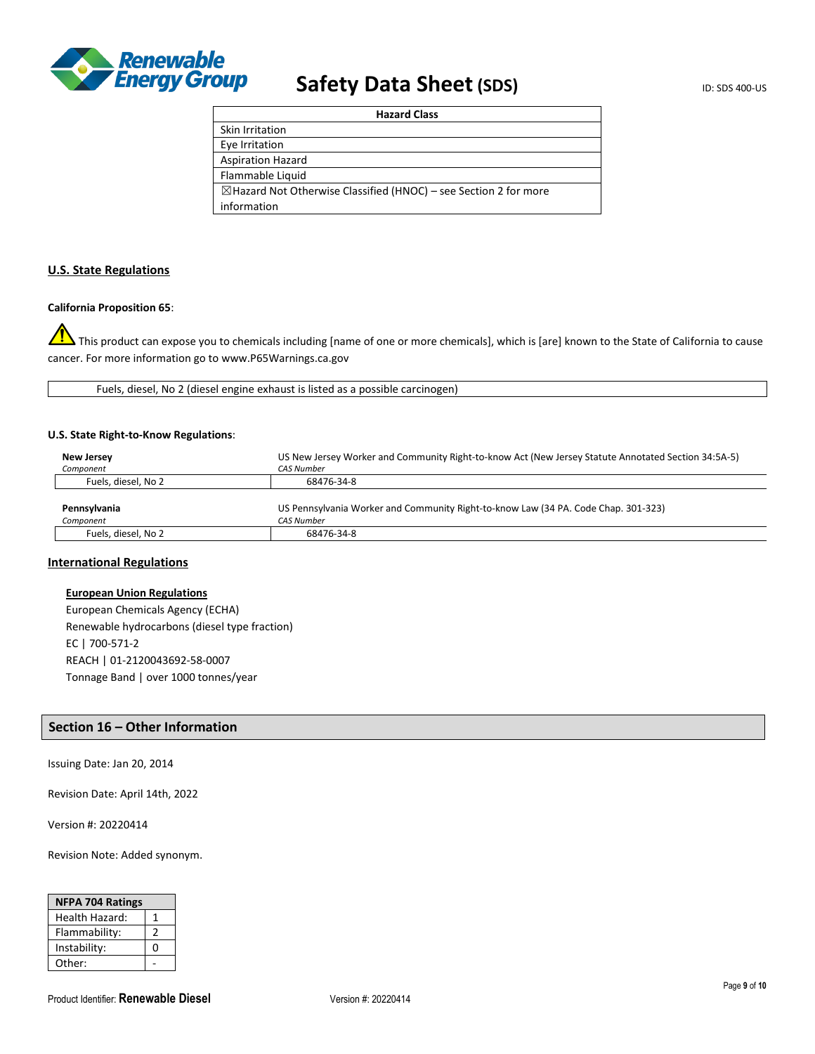

| <b>Hazard Class</b>                                                         |  |
|-----------------------------------------------------------------------------|--|
| Skin Irritation                                                             |  |
| Eye Irritation                                                              |  |
| <b>Aspiration Hazard</b>                                                    |  |
| Flammable Liquid                                                            |  |
| $\boxtimes$ Hazard Not Otherwise Classified (HNOC) – see Section 2 for more |  |
| information                                                                 |  |

## **U.S. State Regulations**

## **California Proposition 65**:

This product can expose you to chemicals including [name of one or more chemicals], which is [are] known to the State of California to cause cancer. For more information go to www.P65Warnings.ca.gov

Fuels, diesel, No 2 (diesel engine exhaust is listed as a possible carcinogen)

#### **U.S. State Right-to-Know Regulations**:

| New Jersey          | US New Jersey Worker and Community Right-to-know Act (New Jersey Statute Annotated Section 34:5A-5) |  |
|---------------------|-----------------------------------------------------------------------------------------------------|--|
| Component           | <b>CAS Number</b>                                                                                   |  |
| Fuels, diesel, No 2 | 68476-34-8                                                                                          |  |
|                     |                                                                                                     |  |
| Pennsylvania        | US Pennsylvania Worker and Community Right-to-know Law (34 PA. Code Chap. 301-323)                  |  |
| Component           | <b>CAS Number</b>                                                                                   |  |
| Fuels, diesel, No 2 | 68476-34-8                                                                                          |  |

## **International Regulations**

## **European Union Regulations**

European Chemicals Agency (ECHA) Renewable hydrocarbons (diesel type fraction) EC | 700-571-2 REACH | 01-2120043692-58-0007 Tonnage Band | over 1000 tonnes/year

## **Section 16 – Other Information**

Issuing Date: Jan 20, 2014

Revision Date: April 14th, 2022

Version #: 20220414

Revision Note: Added synonym.

| <b>NFPA 704 Ratings</b> |   |
|-------------------------|---|
| Health Hazard:          |   |
| Flammability:           |   |
| Instability:            | 0 |
| Other:                  |   |